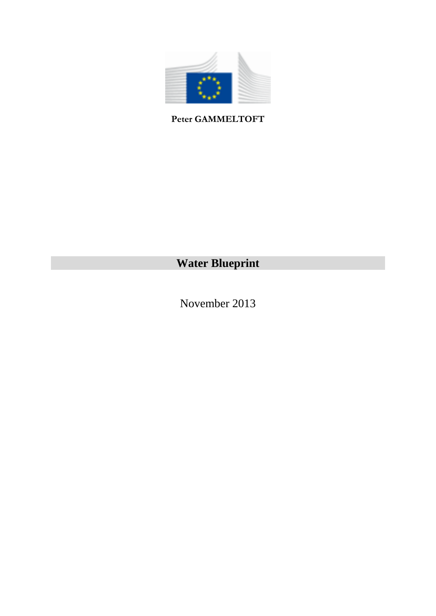

**Peter GAMMELTOFT** 

## **Water Blueprint**

November 2013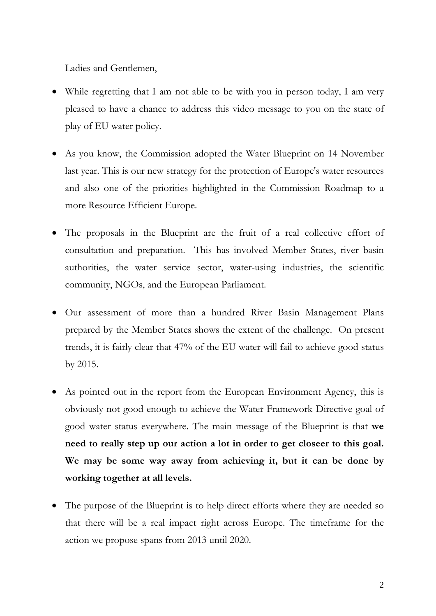Ladies and Gentlemen,

- While regretting that I am not able to be with you in person today, I am very pleased to have a chance to address this video message to you on the state of play of EU water policy.
- As you know, the Commission adopted the Water Blueprint on 14 November last year. This is our new strategy for the protection of Europe's water resources and also one of the priorities highlighted in the Commission Roadmap to a more Resource Efficient Europe.
- The proposals in the Blueprint are the fruit of a real collective effort of consultation and preparation. This has involved Member States, river basin authorities, the water service sector, water-using industries, the scientific community, NGOs, and the European Parliament.
- Our assessment of more than a hundred River Basin Management Plans prepared by the Member States shows the extent of the challenge. On present trends, it is fairly clear that 47% of the EU water will fail to achieve good status by 2015.
- As pointed out in the report from the European Environment Agency, this is obviously not good enough to achieve the Water Framework Directive goal of good water status everywhere. The main message of the Blueprint is that **we need to really step up our action a lot in order to get closeer to this goal. We may be some way away from achieving it, but it can be done by working together at all levels.**
- The purpose of the Blueprint is to help direct efforts where they are needed so that there will be a real impact right across Europe. The timeframe for the action we propose spans from 2013 until 2020.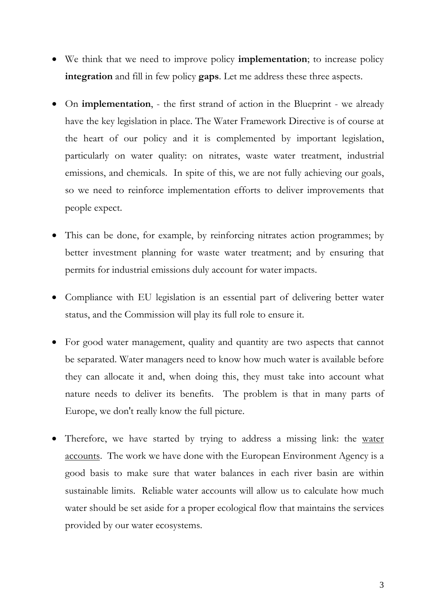- We think that we need to improve policy **implementation**; to increase policy **integration** and fill in few policy **gaps**. Let me address these three aspects.
- On **implementation**, the first strand of action in the Blueprint we already have the key legislation in place. The Water Framework Directive is of course at the heart of our policy and it is complemented by important legislation, particularly on water quality: on nitrates, waste water treatment, industrial emissions, and chemicals. In spite of this, we are not fully achieving our goals, so we need to reinforce implementation efforts to deliver improvements that people expect.
- This can be done, for example, by reinforcing nitrates action programmes; by better investment planning for waste water treatment; and by ensuring that permits for industrial emissions duly account for water impacts.
- Compliance with EU legislation is an essential part of delivering better water status, and the Commission will play its full role to ensure it.
- For good water management, quality and quantity are two aspects that cannot be separated. Water managers need to know how much water is available before they can allocate it and, when doing this, they must take into account what nature needs to deliver its benefits. The problem is that in many parts of Europe, we don't really know the full picture.
- Therefore, we have started by trying to address a missing link: the water accounts. The work we have done with the European Environment Agency is a good basis to make sure that water balances in each river basin are within sustainable limits. Reliable water accounts will allow us to calculate how much water should be set aside for a proper ecological flow that maintains the services provided by our water ecosystems.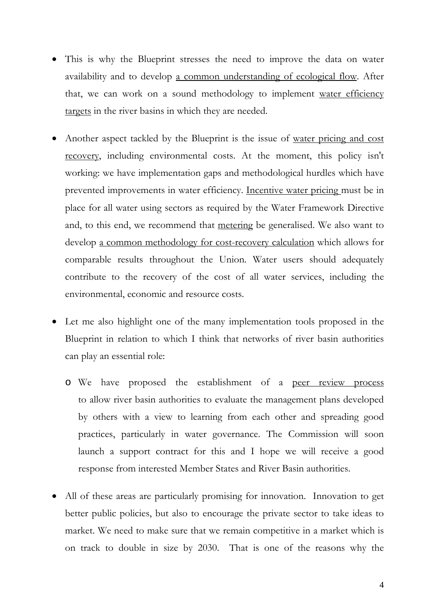- This is why the Blueprint stresses the need to improve the data on water availability and to develop a common understanding of ecological flow. After that, we can work on a sound methodology to implement water efficiency targets in the river basins in which they are needed.
- Another aspect tackled by the Blueprint is the issue of <u>water pricing and cost</u> recovery, including environmental costs. At the moment, this policy isn't working: we have implementation gaps and methodological hurdles which have prevented improvements in water efficiency. Incentive water pricing must be in place for all water using sectors as required by the Water Framework Directive and, to this end, we recommend that metering be generalised. We also want to develop a common methodology for cost-recovery calculation which allows for comparable results throughout the Union. Water users should adequately contribute to the recovery of the cost of all water services, including the environmental, economic and resource costs.
- Let me also highlight one of the many implementation tools proposed in the Blueprint in relation to which I think that networks of river basin authorities can play an essential role:
	- o We have proposed the establishment of a peer review process to allow river basin authorities to evaluate the management plans developed by others with a view to learning from each other and spreading good practices, particularly in water governance. The Commission will soon launch a support contract for this and I hope we will receive a good response from interested Member States and River Basin authorities.
- All of these areas are particularly promising for innovation. Innovation to get better public policies, but also to encourage the private sector to take ideas to market. We need to make sure that we remain competitive in a market which is on track to double in size by 2030. That is one of the reasons why the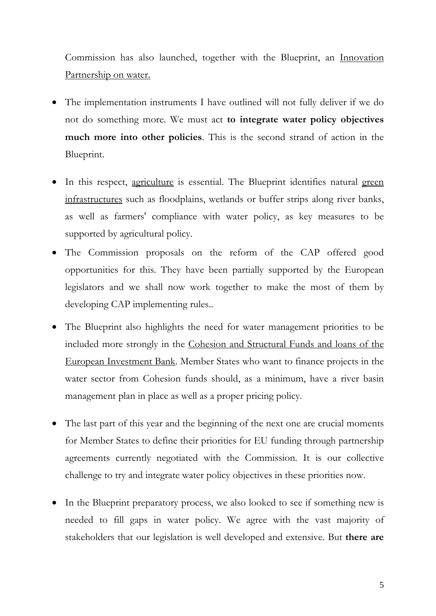Commission has also launched, together with the Blueprint, an Innovation Partnership on water.

- The implementation instruments I have outlined will not fully deliver if we do not do something more. We must act **to integrate water policy objectives much more into other policies**. This is the second strand of action in the Blueprint.
- In this respect, agriculture is essential. The Blueprint identifies natural green infrastructures such as floodplains, wetlands or buffer strips along river banks, as well as farmers' compliance with water policy, as key measures to be supported by agricultural policy.
- The Commission proposals on the reform of the CAP offered good opportunities for this. They have been partially supported by the European legislators and we shall now work together to make the most of them by developing CAP implementing rules..
- The Blueprint also highlights the need for water management priorities to be included more strongly in the Cohesion and Structural Funds and loans of the European Investment Bank. Member States who want to finance projects in the water sector from Cohesion funds should, as a minimum, have a river basin management plan in place as well as a proper pricing policy.
- The last part of this year and the beginning of the next one are crucial moments for Member States to define their priorities for EU funding through partnership agreements currently negotiated with the Commission. It is our collective challenge to try and integrate water policy objectives in these priorities now.
- In the Blueprint preparatory process, we also looked to see if something new is needed to fill gaps in water policy. We agree with the vast majority of stakeholders that our legislation is well developed and extensive. But **there are**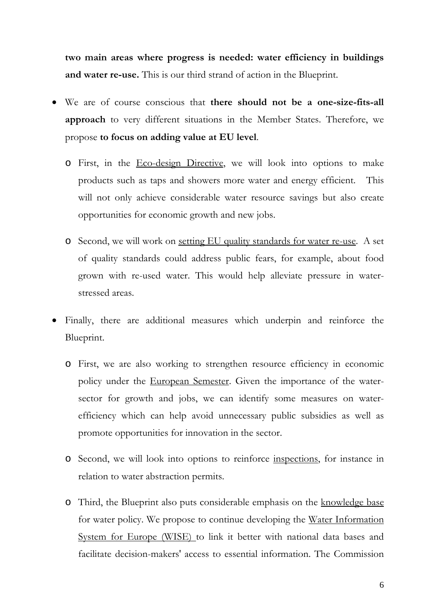**two main areas where progress is needed: water efficiency in buildings and water re-use.** This is our third strand of action in the Blueprint.

- We are of course conscious that **there should not be a one-size-fits-all approach** to very different situations in the Member States. Therefore, we propose **to focus on adding value at EU level**.
	- o First, in the Eco-design Directive, we will look into options to make products such as taps and showers more water and energy efficient. This will not only achieve considerable water resource savings but also create opportunities for economic growth and new jobs.
	- o Second, we will work on setting EU quality standards for water re-use. A set of quality standards could address public fears, for example, about food grown with re-used water. This would help alleviate pressure in waterstressed areas.
- Finally, there are additional measures which underpin and reinforce the Blueprint.
	- o First, we are also working to strengthen resource efficiency in economic policy under the European Semester. Given the importance of the watersector for growth and jobs, we can identify some measures on waterefficiency which can help avoid unnecessary public subsidies as well as promote opportunities for innovation in the sector.
	- o Second, we will look into options to reinforce inspections, for instance in relation to water abstraction permits.
	- o Third, the Blueprint also puts considerable emphasis on the knowledge base for water policy. We propose to continue developing the Water Information System for Europe (WISE) to link it better with national data bases and facilitate decision-makers' access to essential information. The Commission